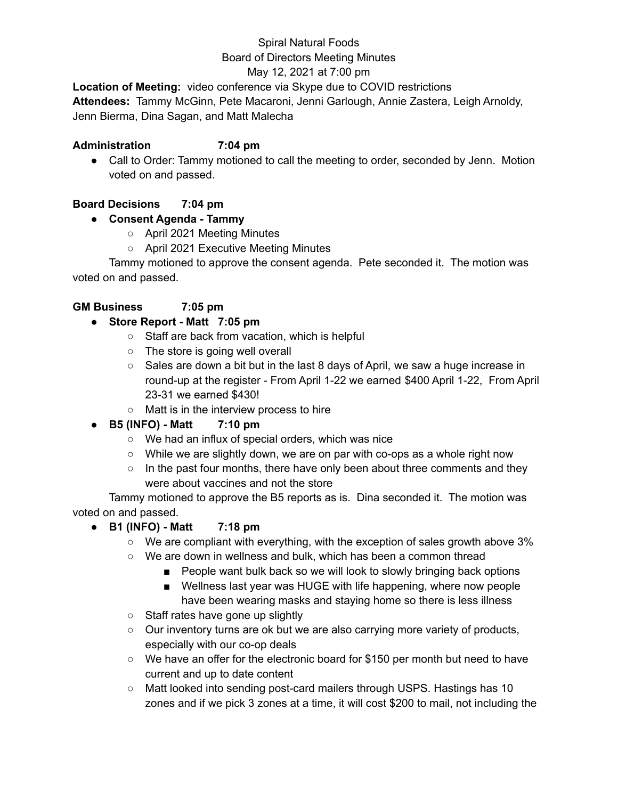## Spiral Natural Foods Board of Directors Meeting Minutes

#### May 12, 2021 at 7:00 pm

**Location of Meeting:** video conference via Skype due to COVID restrictions **Attendees:** Tammy McGinn, Pete Macaroni, Jenni Garlough, Annie Zastera, Leigh Arnoldy, Jenn Bierma, Dina Sagan, and Matt Malecha

#### **Administration 7:04 pm**

• Call to Order: Tammy motioned to call the meeting to order, seconded by Jenn. Motion voted on and passed.

## **Board Decisions 7:04 pm**

## **● Consent Agenda - Tammy**

- April 2021 Meeting Minutes
- April 2021 Executive Meeting Minutes

Tammy motioned to approve the consent agenda. Pete seconded it. The motion was voted on and passed.

## **GM Business 7:05 pm**

## **● Store Report - Matt 7:05 pm**

- Staff are back from vacation, which is helpful
- The store is going well overall
- Sales are down a bit but in the last 8 days of April, we saw a huge increase in round-up at the register - From April 1-22 we earned \$400 April 1-22, From April 23-31 we earned \$430!
- Matt is in the interview process to hire
- **● B5 (INFO) - Matt 7:10 pm**
	- We had an influx of special orders, which was nice
	- $\circ$  While we are slightly down, we are on par with co-ops as a whole right now
	- $\circ$  In the past four months, there have only been about three comments and they were about vaccines and not the store

Tammy motioned to approve the B5 reports as is. Dina seconded it. The motion was voted on and passed.

- **● B1 (INFO) - Matt 7:18 pm**
	- We are compliant with everything, with the exception of sales growth above 3%
	- We are down in wellness and bulk, which has been a common thread
		- People want bulk back so we will look to slowly bringing back options
		- Wellness last year was HUGE with life happening, where now people have been wearing masks and staying home so there is less illness
	- Staff rates have gone up slightly
	- Our inventory turns are ok but we are also carrying more variety of products, especially with our co-op deals
	- We have an offer for the electronic board for \$150 per month but need to have current and up to date content
	- Matt looked into sending post-card mailers through USPS. Hastings has 10 zones and if we pick 3 zones at a time, it will cost \$200 to mail, not including the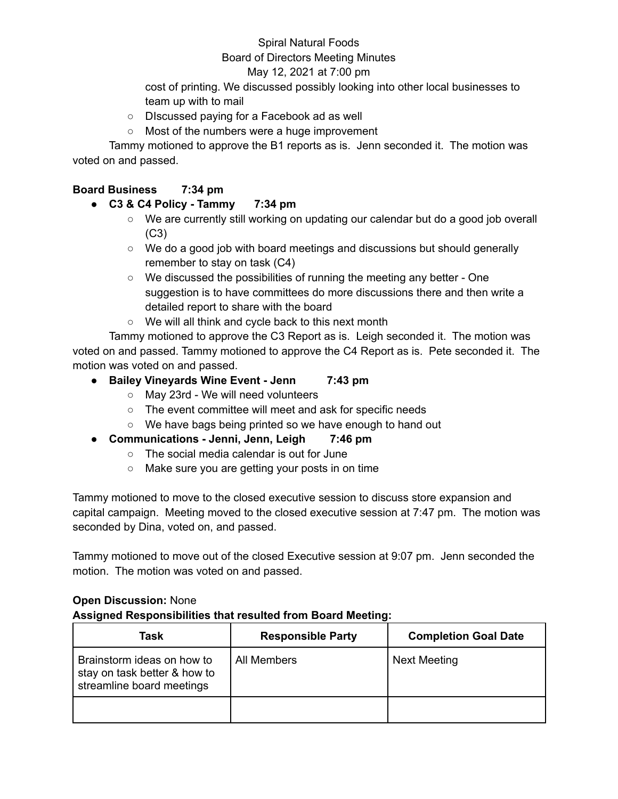#### Spiral Natural Foods

#### Board of Directors Meeting Minutes

#### May 12, 2021 at 7:00 pm

cost of printing. We discussed possibly looking into other local businesses to team up with to mail

- DIscussed paying for a Facebook ad as well
- Most of the numbers were a huge improvement

Tammy motioned to approve the B1 reports as is. Jenn seconded it. The motion was voted on and passed.

#### **Board Business 7:34 pm**

- **● C3 & C4 Policy - Tammy 7:34 pm**
	- We are currently still working on updating our calendar but do a good job overall (C3)
	- $\circ$  We do a good job with board meetings and discussions but should generally remember to stay on task (C4)
	- We discussed the possibilities of running the meeting any better One suggestion is to have committees do more discussions there and then write a detailed report to share with the board
	- We will all think and cycle back to this next month

Tammy motioned to approve the C3 Report as is. Leigh seconded it. The motion was voted on and passed. Tammy motioned to approve the C4 Report as is. Pete seconded it. The motion was voted on and passed.

- **● Bailey Vineyards Wine Event - Jenn 7:43 pm**
	- May 23rd We will need volunteers
	- The event committee will meet and ask for specific needs
	- We have bags being printed so we have enough to hand out
- **● Communications - Jenni, Jenn, Leigh 7:46 pm**
	- The social media calendar is out for June
	- Make sure you are getting your posts in on time

Tammy motioned to move to the closed executive session to discuss store expansion and capital campaign. Meeting moved to the closed executive session at 7:47 pm. The motion was seconded by Dina, voted on, and passed.

Tammy motioned to move out of the closed Executive session at 9:07 pm. Jenn seconded the motion. The motion was voted on and passed.

#### **Open Discussion:** None **Assigned Responsibilities that resulted from Board Meeting:**

| Task                                                                                    | <b>Responsible Party</b> | <b>Completion Goal Date</b> |
|-----------------------------------------------------------------------------------------|--------------------------|-----------------------------|
| Brainstorm ideas on how to<br>stay on task better & how to<br>streamline board meetings | All Members              | Next Meeting                |
|                                                                                         |                          |                             |